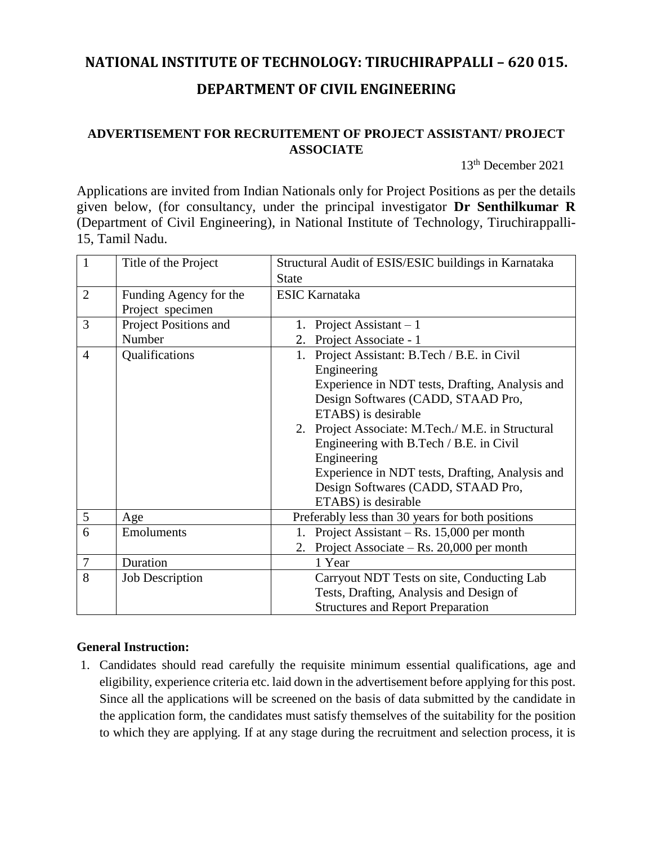# **NATIONAL INSTITUTE OF TECHNOLOGY: TIRUCHIRAPPALLI – 620 015. DEPARTMENT OF CIVIL ENGINEERING**

## **ADVERTISEMENT FOR RECRUITEMENT OF PROJECT ASSISTANT/ PROJECT ASSOCIATE**

13 th December 2021

Applications are invited from Indian Nationals only for Project Positions as per the details given below, (for consultancy, under the principal investigator **Dr Senthilkumar R** (Department of Civil Engineering), in National Institute of Technology, Tiruchirappalli-15, Tamil Nadu.

| $\mathbf{1}$   | Title of the Project   | Structural Audit of ESIS/ESIC buildings in Karnataka |  |  |
|----------------|------------------------|------------------------------------------------------|--|--|
|                |                        | <b>State</b>                                         |  |  |
| $\overline{2}$ | Funding Agency for the | <b>ESIC Karnataka</b>                                |  |  |
|                | Project specimen       |                                                      |  |  |
| 3              | Project Positions and  | 1. Project Assistant $-1$                            |  |  |
|                | Number                 | 2. Project Associate - 1                             |  |  |
| $\overline{4}$ | Qualifications         | 1. Project Assistant: B.Tech / B.E. in Civil         |  |  |
|                |                        | Engineering                                          |  |  |
|                |                        | Experience in NDT tests, Drafting, Analysis and      |  |  |
|                |                        | Design Softwares (CADD, STAAD Pro,                   |  |  |
|                |                        | ETABS) is desirable                                  |  |  |
|                |                        | 2. Project Associate: M.Tech./ M.E. in Structural    |  |  |
|                |                        | Engineering with B.Tech / B.E. in Civil              |  |  |
|                |                        | Engineering                                          |  |  |
|                |                        | Experience in NDT tests, Drafting, Analysis and      |  |  |
|                |                        | Design Softwares (CADD, STAAD Pro,                   |  |  |
|                |                        | ETABS) is desirable                                  |  |  |
| 5              | Age                    | Preferably less than 30 years for both positions     |  |  |
| 6              | Emoluments             | Project Assistant – Rs. $15,000$ per month           |  |  |
|                |                        | 2. Project Associate – Rs. $20,000$ per month        |  |  |
| $\tau$         | Duration               | 1 Year                                               |  |  |
| 8              | <b>Job Description</b> | Carryout NDT Tests on site, Conducting Lab           |  |  |
|                |                        | Tests, Drafting, Analysis and Design of              |  |  |
|                |                        | <b>Structures and Report Preparation</b>             |  |  |

## **General Instruction:**

1. Candidates should read carefully the requisite minimum essential qualifications, age and eligibility, experience criteria etc. laid down in the advertisement before applying for this post. Since all the applications will be screened on the basis of data submitted by the candidate in the application form, the candidates must satisfy themselves of the suitability for the position to which they are applying. If at any stage during the recruitment and selection process, it is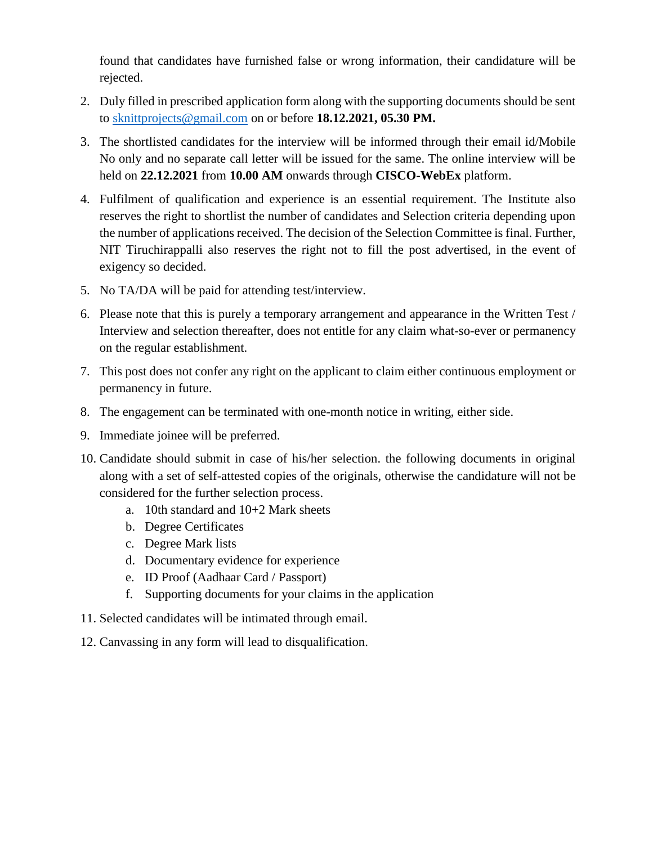found that candidates have furnished false or wrong information, their candidature will be rejected.

- 2. Duly filled in prescribed application form along with the supporting documents should be sent to [sknittprojects@gmail.com](mailto:sknittprojects@gmail.com) on or before **18.12.2021, 05.30 PM.**
- 3. The shortlisted candidates for the interview will be informed through their email id/Mobile No only and no separate call letter will be issued for the same. The online interview will be held on **22.12.2021** from **10.00 AM** onwards through **CISCO-WebEx** platform.
- 4. Fulfilment of qualification and experience is an essential requirement. The Institute also reserves the right to shortlist the number of candidates and Selection criteria depending upon the number of applications received. The decision of the Selection Committee is final. Further, NIT Tiruchirappalli also reserves the right not to fill the post advertised, in the event of exigency so decided.
- 5. No TA/DA will be paid for attending test/interview.
- 6. Please note that this is purely a temporary arrangement and appearance in the Written Test / Interview and selection thereafter, does not entitle for any claim what-so-ever or permanency on the regular establishment.
- 7. This post does not confer any right on the applicant to claim either continuous employment or permanency in future.
- 8. The engagement can be terminated with one-month notice in writing, either side.
- 9. Immediate joinee will be preferred.
- 10. Candidate should submit in case of his/her selection. the following documents in original along with a set of self-attested copies of the originals, otherwise the candidature will not be considered for the further selection process.
	- a. 10th standard and 10+2 Mark sheets
	- b. Degree Certificates
	- c. Degree Mark lists
	- d. Documentary evidence for experience
	- e. ID Proof (Aadhaar Card / Passport)
	- f. Supporting documents for your claims in the application
- 11. Selected candidates will be intimated through email.
- 12. Canvassing in any form will lead to disqualification.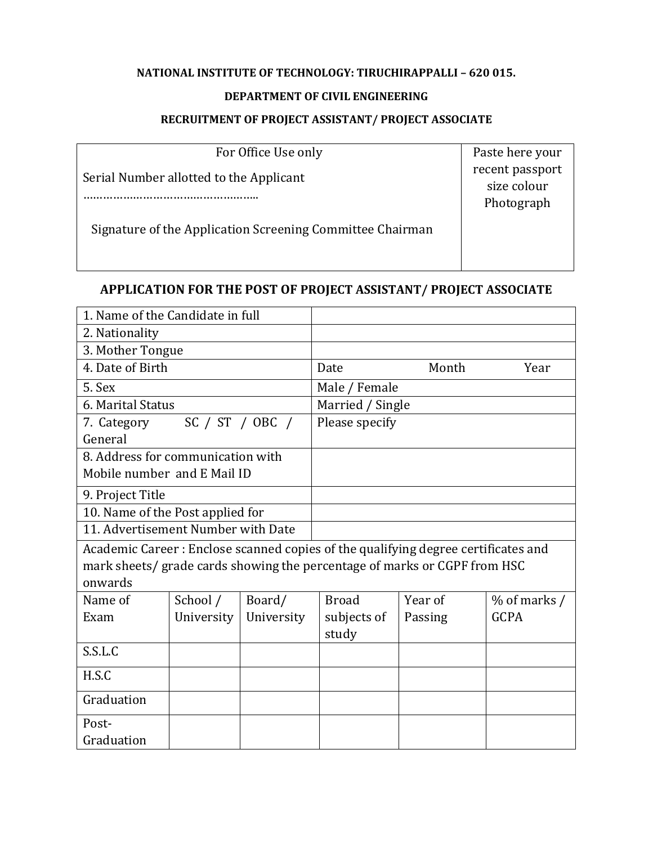## **NATIONAL INSTITUTE OF TECHNOLOGY: TIRUCHIRAPPALLI – 620 015.**

## **DEPARTMENT OF CIVIL ENGINEERING**

## **RECRUITMENT OF PROJECT ASSISTANT/ PROJECT ASSOCIATE**

| For Office Use only                                       | Paste here your                              |
|-----------------------------------------------------------|----------------------------------------------|
| Serial Number allotted to the Applicant                   | recent passport<br>size colour<br>Photograph |
| Signature of the Application Screening Committee Chairman |                                              |

## **APPLICATION FOR THE POST OF PROJECT ASSISTANT/ PROJECT ASSOCIATE**

| 1. Name of the Candidate in full                                                  |                   |            |                |                  |                |  |
|-----------------------------------------------------------------------------------|-------------------|------------|----------------|------------------|----------------|--|
| 2. Nationality                                                                    |                   |            |                |                  |                |  |
| 3. Mother Tongue                                                                  |                   |            |                |                  |                |  |
| 4. Date of Birth                                                                  |                   |            | Date           | Month            | Year           |  |
| 5. Sex                                                                            |                   |            | Male / Female  |                  |                |  |
|                                                                                   | 6. Marital Status |            |                | Married / Single |                |  |
| SC $/$ ST $/$ OBC $/$<br>7. Category                                              |                   |            | Please specify |                  |                |  |
| General                                                                           |                   |            |                |                  |                |  |
| 8. Address for communication with                                                 |                   |            |                |                  |                |  |
| Mobile number and E Mail ID                                                       |                   |            |                |                  |                |  |
| 9. Project Title                                                                  |                   |            |                |                  |                |  |
| 10. Name of the Post applied for                                                  |                   |            |                |                  |                |  |
| 11. Advertisement Number with Date                                                |                   |            |                |                  |                |  |
| Academic Career: Enclose scanned copies of the qualifying degree certificates and |                   |            |                |                  |                |  |
| mark sheets/ grade cards showing the percentage of marks or CGPF from HSC         |                   |            |                |                  |                |  |
| onwards                                                                           |                   |            |                |                  |                |  |
| Name of                                                                           | School /          | Board/     | <b>Broad</b>   | Year of          | $%$ of marks / |  |
| Exam                                                                              | University        | University | subjects of    | Passing          | <b>GCPA</b>    |  |
|                                                                                   |                   |            | study          |                  |                |  |
| S.S.L.C                                                                           |                   |            |                |                  |                |  |
| H.S.C                                                                             |                   |            |                |                  |                |  |
| Graduation                                                                        |                   |            |                |                  |                |  |
| Post-                                                                             |                   |            |                |                  |                |  |
| Graduation                                                                        |                   |            |                |                  |                |  |